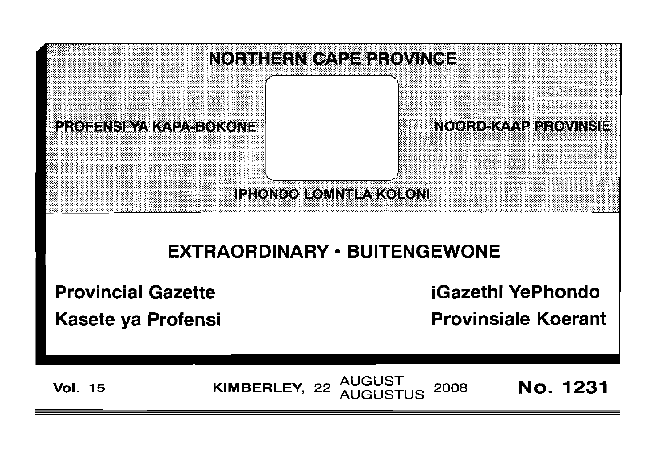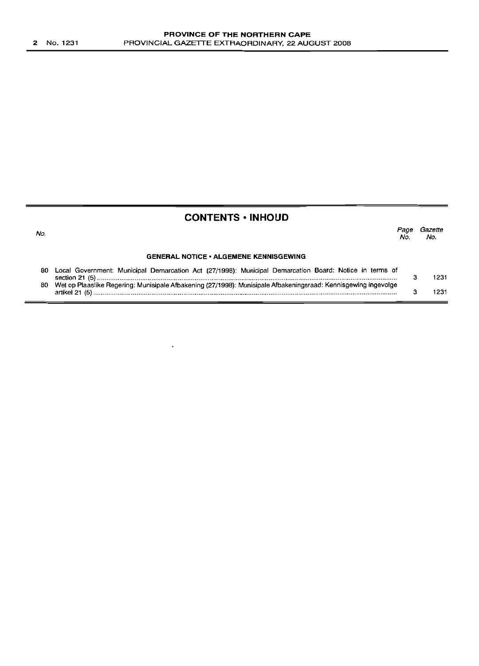**No.**

# **CONTENTS • INHOUD**

**Page Gazette No. No.**

#### **GENERAL NOTICE' ALGEMENE KENNISGEWING**

 $\ddot{\phantom{0}}$ 

| 80 | Local Government: Municipal Demarcation Act (27/1998): Municipal Demarcation Board: Notice in terms of         |      |
|----|----------------------------------------------------------------------------------------------------------------|------|
|    |                                                                                                                | 231  |
| 80 | Wet op Plaaslike Regering: Munisipale Afbakening (27/1998): Munisipale Afbakeningsraad: Kennisgewing ingevolge |      |
|    |                                                                                                                |      |
|    |                                                                                                                | 1231 |
|    |                                                                                                                |      |